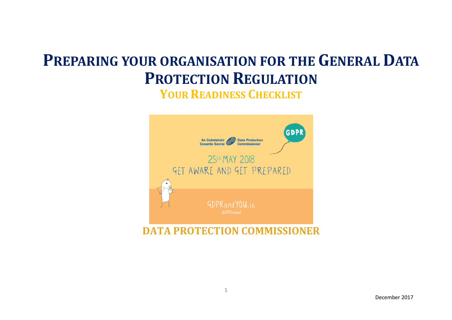# **PREPARING YOUR ORGANISATION FOR THE GENERAL DATA PROTECTION REGULATION**

**YOUR READINESS CHECKLIST**



**DATA PROTECTION COMMISSIONER**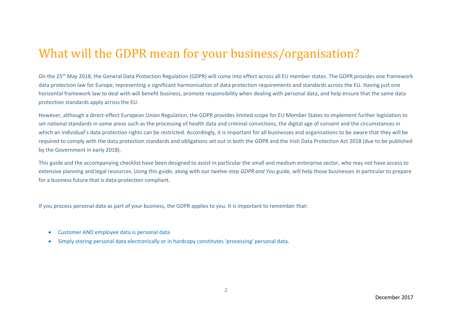## What will the GDPR mean for your business/organisation?

On the 25<sup>th</sup> May 2018, the General Data Protection Regulation (GDPR) will come into effect across all EU member states. The GDPR provides one framework data protection law for Europe, representing a significant harmonisation of data protection requirements and standards across the EU. Having just one horizontal framework law to deal with will benefit business, promote responsibility when dealing with personal data, and help ensure that the same data protection standards apply across the EU.

However, although a direct-effect European Union Regulation, the GDPR provides limited scope for EU Member States to implement further legislation to set national standards in some areas such as the processing of health data and criminal convictions, the digital age of consent and the circumstances in which an individual's data protection rights can be restricted. Accordingly, it is important for all businesses and organisations to be aware that they will be required to comply with the data protection standards and obligations set out in both the GDPR and the Irish Data Protection Act 2018 (due to be published by the Government in early 2018).

This guide and the accompanying checklist have been designed to assist in particular the small and medium enterprise sector, who may not have access to extensive planning and legal resources. Using this guide, along with our twelve-step *GDPR and You* guide, will help those businesses in particular to prepare for a business future that is data-protection compliant.

If you process personal data as part of your business, the GDPR applies to you. It is important to remember that:

- Customer AND employee data is personal data
- Simply storing personal data electronically or in hardcopy constitutes 'processing' personal data.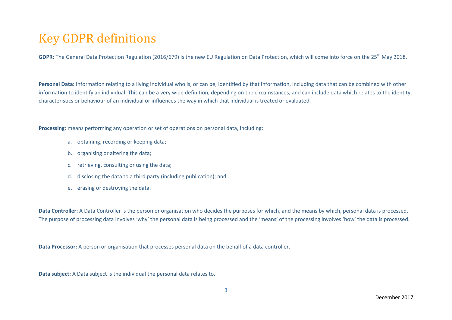## Key GDPR definitions

**GDPR:** The General Data Protection Regulation (2016/679) is the new EU Regulation on Data Protection, which will come into force on the 25th May 2018.

**Personal Data:** Information relating to a living individual who is, or can be, identified by that information, including data that can be combined with other information to identify an individual. This can be a very wide definition, depending on the circumstances, and can include data which relates to the identity, characteristics or behaviour of an individual or influences the way in which that individual is treated or evaluated.

**Processing**: means performing any operation or set of operations on personal data, including:

- a. obtaining, recording or keeping data;
- b. organising or altering the data;
- c. retrieving, consulting or using the data;
- d. disclosing the data to a third party (including publication); and
- e. erasing or destroying the data.

**Data Controller**: A Data Controller is the person or organisation who decides the purposes for which, and the means by which, personal data is processed. The purpose of processing data involves 'why' the personal data is being processed and the 'means' of the processing involves 'how' the data is processed.

**Data Processor:** A person or organisation that processes personal data on the behalf of a data controller.

**Data subject:** A Data subject is the individual the personal data relates to.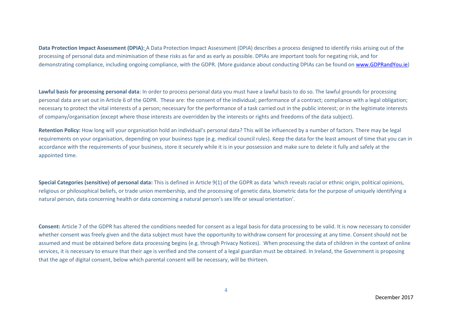**Data Protection Impact Assessment (DPIA):** A Data Protection Impact Assessment (DPIA) describes a process designed to identify risks arising out of the processing of personal data and minimisation of these risks as far and as early as possible. DPIAs are important tools for negating risk, and for demonstrating compliance, including ongoing compliance, with the GDPR. (More guidance about conducting DPIAs can be found o[n www.GDPRandYou.ie\)](http://www.gdprandyou.ie/)

**Lawful basis for processing personal data**: In order to process personal data you must have a lawful basis to do so. The lawful grounds for processing personal data are set out in Article 6 of the GDPR. These are: the consent of the individual; performance of a contract; compliance with a legal obligation; necessary to protect the vital interests of a person; necessary for the performance of a task carried out in the public interest; or in the legitimate interests of company/organisation (except where those interests are overridden by the interests or rights and freedoms of the data subject).

**Retention Policy:** How long will your organisation hold an individual's personal data? This will be influenced by a number of factors. There may be legal requirements on your organisation, depending on your business type (e.g. medical council rules). Keep the data for the least amount of time that you can in accordance with the requirements of your business, store it securely while it is in your possession and make sure to delete it fully and safely at the appointed time.

**Special Categories (sensitive) of personal data:** This is defined in Article 9(1) of the GDPR as data 'which reveals racial or ethnic origin, political opinions, religious or philosophical beliefs, or trade union membership, and the processing of genetic data, biometric data for the purpose of uniquely identifying a natural person, data concerning health or data concerning a natural person's sex life or sexual orientation'.

**Consent:** Article 7 of the GDPR has altered the conditions needed for consent as a legal basis for data processing to be valid. It is now necessary to consider whether consent was freely given and the data subject must have the opportunity to withdraw consent for processing at any time. Consent should not be assumed and must be obtained before data processing begins (e.g. through Privacy Notices). When processing the data of children in the context of online services, it is necessary to ensure that their age is verified and the consent of a legal guardian must be obtained. In Ireland, the Government is proposing that the age of digital consent, below which parental consent will be necessary, will be thirteen.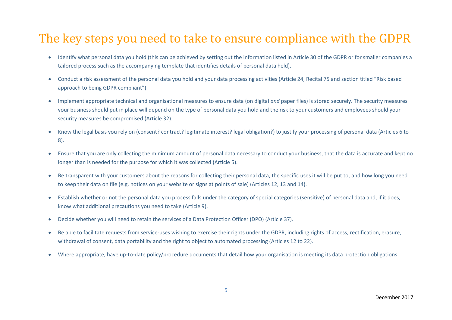### The key steps you need to take to ensure compliance with the GDPR

- Identify what personal data you hold (this can be achieved by setting out the information listed in Article 30 of the GDPR or for smaller companies a tailored process such as the accompanying template that identifies details of personal data held).
- Conduct a risk assessment of the personal data you hold and your data processing activities (Article 24, Recital 75 and section titled "Risk based approach to being GDPR compliant").
- Implement appropriate technical and organisational measures to ensure data (on digital *and* paper files) is stored securely. The security measures your business should put in place will depend on the type of personal data you hold and the risk to your customers and employees should your security measures be compromised (Article 32).
- Know the legal basis you rely on (consent? contract? legitimate interest? legal obligation?) to justify your processing of personal data (Articles 6 to 8).
- Ensure that you are only collecting the minimum amount of personal data necessary to conduct your business, that the data is accurate and kept no longer than is needed for the purpose for which it was collected (Article 5).
- Be transparent with your customers about the reasons for collecting their personal data, the specific uses it will be put to, and how long you need to keep their data on file (e.g. notices on your website or signs at points of sale) (Articles 12, 13 and 14).
- Establish whether or not the personal data you process falls under the category of special categories (sensitive) of personal data and, if it does, know what additional precautions you need to take (Article 9).
- Decide whether you will need to retain the services of a Data Protection Officer (DPO) (Article 37).
- Be able to facilitate requests from service-uses wishing to exercise their rights under the GDPR, including rights of access, rectification, erasure, withdrawal of consent, data portability and the right to object to automated processing (Articles 12 to 22).
- Where appropriate, have up-to-date policy/procedure documents that detail how your organisation is meeting its data protection obligations.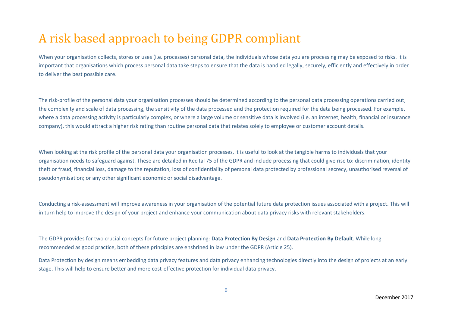## A risk based approach to being GDPR compliant

When your organisation collects, stores or uses (i.e. processes) personal data, the individuals whose data you are processing may be exposed to risks. It is important that organisations which process personal data take steps to ensure that the data is handled legally, securely, efficiently and effectively in order to deliver the best possible care.

The risk-profile of the personal data your organisation processes should be determined according to the personal data processing operations carried out, the complexity and scale of data processing, the sensitivity of the data processed and the protection required for the data being processed. For example, where a data processing activity is particularly complex, or where a large volume or sensitive data is involved (i.e. an internet, health, financial or insurance company), this would attract a higher risk rating than routine personal data that relates solely to employee or customer account details.

When looking at the risk profile of the personal data your organisation processes, it is useful to look at the tangible harms to individuals that your organisation needs to safeguard against. These are detailed in Recital 75 of the GDPR and include processing that could give rise to: discrimination, identity theft or fraud, financial loss, damage to the reputation, loss of confidentiality of personal data protected by professional secrecy, unauthorised reversal of pseudonymisation; or any other significant economic or social disadvantage.

Conducting a risk-assessment will improve awareness in your organisation of the potential future data protection issues associated with a project. This will in turn help to improve the design of your project and enhance your communication about data privacy risks with relevant stakeholders.

The GDPR provides for two crucial concepts for future project planning: **Data Protection By Design** and **Data Protection By Default**. While long recommended as good practice, both of these principles are enshrined in law under the GDPR (Article 25).

Data Protection by design means embedding data privacy features and data privacy enhancing technologies directly into the design of projects at an early stage. This will help to ensure better and more cost-effective protection for individual data privacy.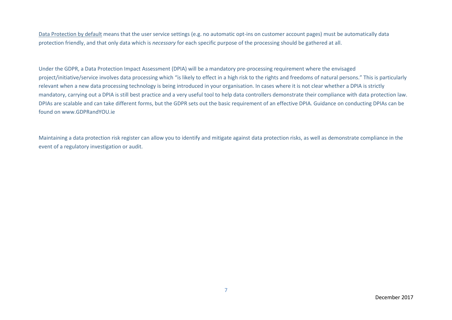Data Protection by default means that the user service settings (e.g. no automatic opt-ins on customer account pages) must be automatically data protection friendly, and that only data which is *necessary* for each specific purpose of the processing should be gathered at all.

Under the GDPR, a Data Protection Impact Assessment (DPIA) will be a mandatory pre-processing requirement where the envisaged project/initiative/service involves data processing which "is likely to effect in a high risk to the rights and freedoms of natural persons." This is particularly relevant when a new data processing technology is being introduced in your organisation. In cases where it is not clear whether a DPIA is strictly mandatory, carrying out a DPIA is still best practice and a very useful tool to help data controllers demonstrate their compliance with data protection law. DPIAs are scalable and can take different forms, but the GDPR sets out the basic requirement of an effective DPIA. Guidance on conducting DPIAs can be found on [www.GDPRandYOU.ie](http://www.gdprandyou.ie/)

Maintaining a data protection risk register can allow you to identify and mitigate against data protection risks, as well as demonstrate compliance in the event of a regulatory investigation or audit.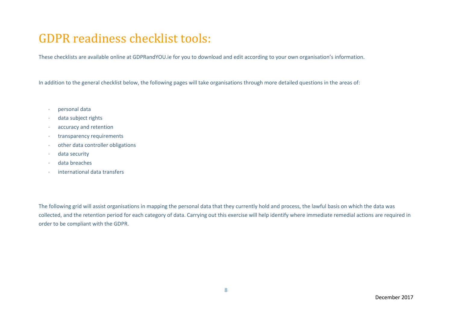### GDPR readiness checklist tools:

These checklists are available online at GDPRandYOU.ie for you to download and edit according to your own organisation's information.

In addition to the general checklist below, the following pages will take organisations through more detailed questions in the areas of:

- personal data
- data subject rights
- accuracy and retention
- **transparency requirements**
- other data controller obligations
- data security
- data breaches
- international data transfers

The following grid will assist organisations in mapping the personal data that they currently hold and process, the lawful basis on which the data was collected, and the retention period for each category of data. Carrying out this exercise will help identify where immediate remedial actions are required in order to be compliant with the GDPR.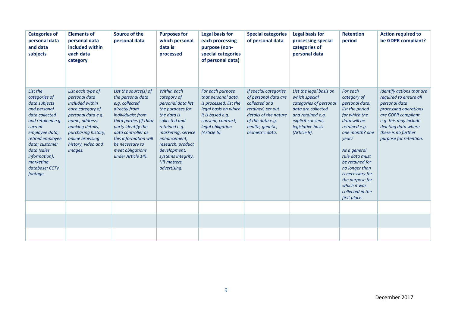| <b>Categories of</b><br>personal data<br>and data<br>subjects                                                                                                                                                                                          | <b>Elements of</b><br>personal data<br>included within<br>each data<br>category                                                                                                                                  | Source of the<br>personal data                                                                                                                                                                                                                                  | <b>Purposes for</b><br>which personal<br>data is<br>processed                                                                                                                                                                                         | <b>Legal basis for</b><br>each processing<br>purpose (non-<br>special categories<br>of personal data)                                                                  | <b>Special categories</b><br>of personal data                                                                                                                           | <b>Legal basis for</b><br>processing special<br>categories of<br>personal data                                                                                          | <b>Retention</b><br>period                                                                                                                                                                                                                                                                                  | <b>Action required to</b><br>be GDPR compliant?                                                                                                                                                                      |
|--------------------------------------------------------------------------------------------------------------------------------------------------------------------------------------------------------------------------------------------------------|------------------------------------------------------------------------------------------------------------------------------------------------------------------------------------------------------------------|-----------------------------------------------------------------------------------------------------------------------------------------------------------------------------------------------------------------------------------------------------------------|-------------------------------------------------------------------------------------------------------------------------------------------------------------------------------------------------------------------------------------------------------|------------------------------------------------------------------------------------------------------------------------------------------------------------------------|-------------------------------------------------------------------------------------------------------------------------------------------------------------------------|-------------------------------------------------------------------------------------------------------------------------------------------------------------------------|-------------------------------------------------------------------------------------------------------------------------------------------------------------------------------------------------------------------------------------------------------------------------------------------------------------|----------------------------------------------------------------------------------------------------------------------------------------------------------------------------------------------------------------------|
| List the<br>categories of<br>data subjects<br>and personal<br>data collected<br>and retained e.g.<br>current<br>employee data;<br>retired employee<br>data; customer<br>data (sales<br><i>information);</i><br>marketing<br>database; CCTV<br>footage. | List each type of<br>personal data<br>included within<br>each category of<br>personal data e.g.<br>name, address,<br>banking details,<br>purchasing history,<br>online browsing<br>history, video and<br>images. | List the source(s) of<br>the personal data<br>e.g. collected<br>directly from<br>individuals; from<br>third parties (if third<br>party identify the<br>data controller as<br>this information will<br>be necessary to<br>meet obligations<br>under Article 14). | Within each<br>category of<br>personal data list<br>the purposes for<br>the data is<br>collected and<br>retained e.g.<br>marketing, service<br>enhancement,<br>research, product<br>development,<br>systems integrity,<br>HR matters,<br>advertising. | For each purpose<br>that personal data<br>is processed, list the<br>legal basis on which<br>it is based e.g.<br>consent, contract,<br>legal obligation<br>(Article 6). | If special categories<br>of personal data are<br>collected and<br>retained, set out<br>details of the nature<br>of the data e.g.<br>health, genetic,<br>biometric data. | List the legal basis on<br>which special<br>categories of personal<br>data are collected<br>and retained e.g.<br>explicit consent,<br>legislative basis<br>(Article 9). | For each<br>category of<br>personal data,<br>list the period<br>for which the<br>data will be<br>retained e.g.<br>one month? one<br>year?<br>As a general<br>rule data must<br>be retained for<br>no longer than<br>is necessary for<br>the purpose for<br>which it was<br>collected in the<br>first place. | Identify actions that are<br>required to ensure all<br>personal data<br>processing operations<br>are GDPR compliant<br>e.g. this may include<br>deleting data where<br>there is no further<br>purpose for retention. |
|                                                                                                                                                                                                                                                        |                                                                                                                                                                                                                  |                                                                                                                                                                                                                                                                 |                                                                                                                                                                                                                                                       |                                                                                                                                                                        |                                                                                                                                                                         |                                                                                                                                                                         |                                                                                                                                                                                                                                                                                                             |                                                                                                                                                                                                                      |
|                                                                                                                                                                                                                                                        |                                                                                                                                                                                                                  |                                                                                                                                                                                                                                                                 |                                                                                                                                                                                                                                                       |                                                                                                                                                                        |                                                                                                                                                                         |                                                                                                                                                                         |                                                                                                                                                                                                                                                                                                             |                                                                                                                                                                                                                      |
|                                                                                                                                                                                                                                                        |                                                                                                                                                                                                                  |                                                                                                                                                                                                                                                                 |                                                                                                                                                                                                                                                       |                                                                                                                                                                        |                                                                                                                                                                         |                                                                                                                                                                         |                                                                                                                                                                                                                                                                                                             |                                                                                                                                                                                                                      |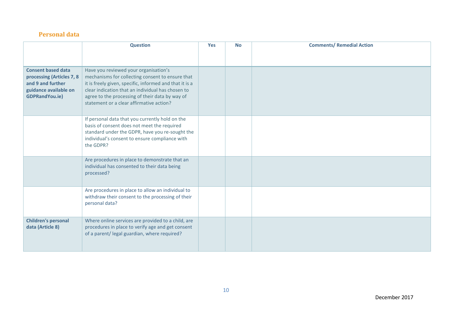#### **Personal data**

|                                                                                                                               | <b>Question</b>                                                                                                                                                                                                                                                                                          | <b>Yes</b> | <b>No</b> | <b>Comments/ Remedial Action</b> |
|-------------------------------------------------------------------------------------------------------------------------------|----------------------------------------------------------------------------------------------------------------------------------------------------------------------------------------------------------------------------------------------------------------------------------------------------------|------------|-----------|----------------------------------|
|                                                                                                                               |                                                                                                                                                                                                                                                                                                          |            |           |                                  |
| <b>Consent based data</b><br>processing (Articles 7, 8<br>and 9 and further<br>guidance available on<br><b>GDPRandYou.ie)</b> | Have you reviewed your organisation's<br>mechanisms for collecting consent to ensure that<br>it is freely given, specific, informed and that it is a<br>clear indication that an individual has chosen to<br>agree to the processing of their data by way of<br>statement or a clear affirmative action? |            |           |                                  |
|                                                                                                                               | If personal data that you currently hold on the<br>basis of consent does not meet the required<br>standard under the GDPR, have you re-sought the<br>individual's consent to ensure compliance with<br>the GDPR?                                                                                         |            |           |                                  |
|                                                                                                                               | Are procedures in place to demonstrate that an<br>individual has consented to their data being<br>processed?                                                                                                                                                                                             |            |           |                                  |
|                                                                                                                               | Are procedures in place to allow an individual to<br>withdraw their consent to the processing of their<br>personal data?                                                                                                                                                                                 |            |           |                                  |
| <b>Children's personal</b><br>data (Article 8)                                                                                | Where online services are provided to a child, are<br>procedures in place to verify age and get consent<br>of a parent/ legal guardian, where required?                                                                                                                                                  |            |           |                                  |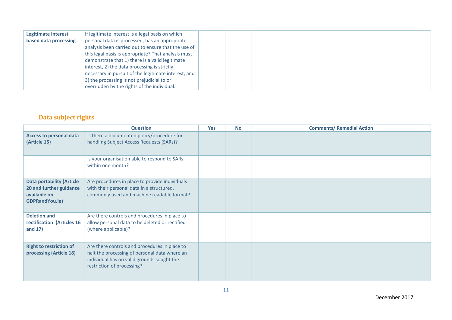| Legitimate interest   | If legitimate interest is a legal basis on which     |
|-----------------------|------------------------------------------------------|
| based data processing | personal data is processed, has an appropriate       |
|                       | analysis been carried out to ensure that the use of  |
|                       | this legal basis is appropriate? That analysis must  |
|                       | demonstrate that 1) there is a valid legitimate      |
|                       | interest, 2) the data processing is strictly         |
|                       | necessary in pursuit of the legitimate interest, and |
|                       | 3) the processing is not prejudicial to or           |
|                       | overridden by the rights of the individual.          |

#### **Data subject rights**

|                                                                                               | <b>Question</b>                                                                                                                                                            | Yes | <b>No</b> | <b>Comments/ Remedial Action</b> |
|-----------------------------------------------------------------------------------------------|----------------------------------------------------------------------------------------------------------------------------------------------------------------------------|-----|-----------|----------------------------------|
| <b>Access to personal data</b><br>(Article 15)                                                | Is there a documented policy/procedure for<br>handling Subject Access Requests (SARs)?                                                                                     |     |           |                                  |
|                                                                                               | Is your organisation able to respond to SARs<br>within one month?                                                                                                          |     |           |                                  |
| <b>Data portability (Article</b><br>20 and further guidance<br>available on<br>GDPRandYou.ie) | Are procedures in place to provide individuals<br>with their personal data in a structured,<br>commonly used and machine readable format?                                  |     |           |                                  |
| <b>Deletion and</b><br>rectification (Articles 16<br>and $17)$                                | Are there controls and procedures in place to<br>allow personal data to be deleted or rectified<br>(where applicable)?                                                     |     |           |                                  |
| <b>Right to restriction of</b><br>processing (Article 18)                                     | Are there controls and procedures in place to<br>halt the processing of personal data where an<br>individual has on valid grounds sought the<br>restriction of processing? |     |           |                                  |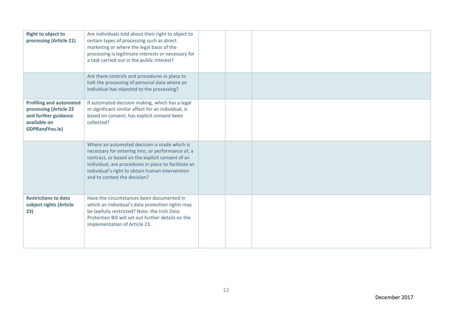| <b>Right to object to</b><br>processing (Article 21)                                                                      | Are individuals told about their right to object to<br>certain types of processing such as direct<br>marketing or where the legal basis of the<br>processing is legitimate interests or necessary for<br>a task carried out in the public interest?                                              |  |  |
|---------------------------------------------------------------------------------------------------------------------------|--------------------------------------------------------------------------------------------------------------------------------------------------------------------------------------------------------------------------------------------------------------------------------------------------|--|--|
|                                                                                                                           | Are there controls and procedures in place to<br>halt the processing of personal data where an<br>individual has objected to the processing?                                                                                                                                                     |  |  |
| <b>Profiling and automated</b><br>processing (Article 22<br>and further guidance<br>available on<br><b>GDPRandYou.ie)</b> | If automated decision making, which has a legal<br>or significant similar affect for an individual, is<br>based on consent, has explicit consent been<br>collected?                                                                                                                              |  |  |
|                                                                                                                           | Where an automated decision is made which is<br>necessary for entering into, or performance of, a<br>contract, or based on the explicit consent of an<br>individual, are procedures in place to facilitate an<br>individual's right to obtain human intervention<br>and to contest the decision? |  |  |
| <b>Restrictions to data</b><br>subject rights (Article<br>23)                                                             | Have the circumstances been documented in<br>which an individual's data protection rights may<br>be lawfully restricted? Note: the Irish Data<br>Protection Bill will set out further details on the<br>implementation of Article 23.                                                            |  |  |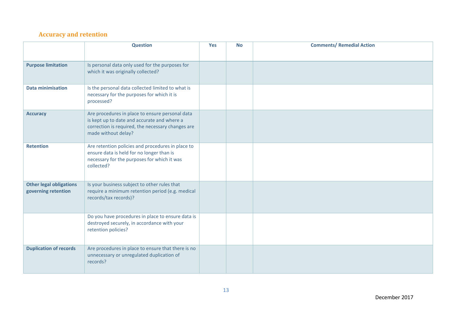#### **Accuracy and retention**

|                                                       | <b>Question</b>                                                                                                                                                            | <b>Yes</b> | <b>No</b> | <b>Comments/ Remedial Action</b> |
|-------------------------------------------------------|----------------------------------------------------------------------------------------------------------------------------------------------------------------------------|------------|-----------|----------------------------------|
| <b>Purpose limitation</b>                             | Is personal data only used for the purposes for<br>which it was originally collected?                                                                                      |            |           |                                  |
| <b>Data minimisation</b>                              | Is the personal data collected limited to what is<br>necessary for the purposes for which it is<br>processed?                                                              |            |           |                                  |
| <b>Accuracy</b>                                       | Are procedures in place to ensure personal data<br>is kept up to date and accurate and where a<br>correction is required, the necessary changes are<br>made without delay? |            |           |                                  |
| <b>Retention</b>                                      | Are retention policies and procedures in place to<br>ensure data is held for no longer than is<br>necessary for the purposes for which it was<br>collected?                |            |           |                                  |
| <b>Other legal obligations</b><br>governing retention | Is your business subject to other rules that<br>require a minimum retention period (e.g. medical<br>records/tax records)?                                                  |            |           |                                  |
|                                                       | Do you have procedures in place to ensure data is<br>destroyed securely, in accordance with your<br>retention policies?                                                    |            |           |                                  |
| <b>Duplication of records</b>                         | Are procedures in place to ensure that there is no<br>unnecessary or unregulated duplication of<br>records?                                                                |            |           |                                  |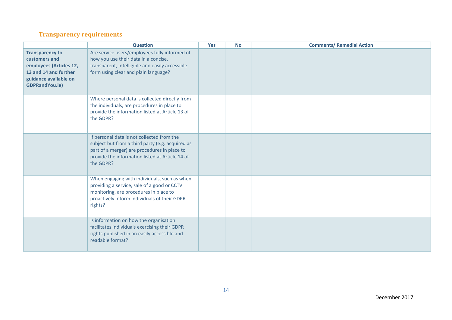#### **Transparency requirements**

|                                                                                                                                               | <b>Question</b>                                                                                                                                                                                                | <b>Yes</b> | <b>No</b> | <b>Comments/ Remedial Action</b> |
|-----------------------------------------------------------------------------------------------------------------------------------------------|----------------------------------------------------------------------------------------------------------------------------------------------------------------------------------------------------------------|------------|-----------|----------------------------------|
| <b>Transparency to</b><br>customers and<br>employees (Articles 12,<br>13 and 14 and further<br>guidance available on<br><b>GDPRandYou.ie)</b> | Are service users/employees fully informed of<br>how you use their data in a concise,<br>transparent, intelligible and easily accessible<br>form using clear and plain language?                               |            |           |                                  |
|                                                                                                                                               | Where personal data is collected directly from<br>the individuals, are procedures in place to<br>provide the information listed at Article 13 of<br>the GDPR?                                                  |            |           |                                  |
|                                                                                                                                               | If personal data is not collected from the<br>subject but from a third party (e.g. acquired as<br>part of a merger) are procedures in place to<br>provide the information listed at Article 14 of<br>the GDPR? |            |           |                                  |
|                                                                                                                                               | When engaging with individuals, such as when<br>providing a service, sale of a good or CCTV<br>monitoring, are procedures in place to<br>proactively inform individuals of their GDPR<br>rights?               |            |           |                                  |
|                                                                                                                                               | Is information on how the organisation<br>facilitates individuals exercising their GDPR<br>rights published in an easily accessible and<br>readable format?                                                    |            |           |                                  |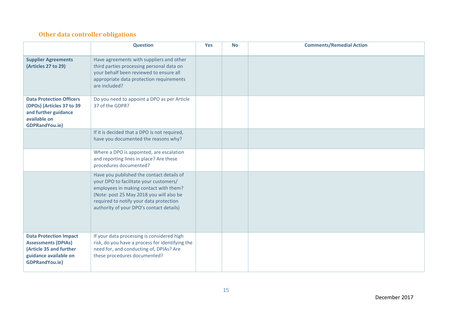#### **Other data controller obligations**

|                                                                                                                                          | <b>Question</b>                                                                                                                                                                                                                                                  | <b>Yes</b> | <b>No</b> | <b>Comments/Remedial Action</b> |
|------------------------------------------------------------------------------------------------------------------------------------------|------------------------------------------------------------------------------------------------------------------------------------------------------------------------------------------------------------------------------------------------------------------|------------|-----------|---------------------------------|
| <b>Supplier Agreements</b><br>(Articles 27 to 29)                                                                                        | Have agreements with suppliers and other<br>third parties processing personal data on<br>your behalf been reviewed to ensure all<br>appropriate data protection requirements<br>are included?                                                                    |            |           |                                 |
| <b>Data Protection Officers</b><br>(DPOs) (Articles 37 to 39<br>and further guidance<br>available on<br><b>GDPRandYou.ie)</b>            | Do you need to appoint a DPO as per Article<br>37 of the GDPR?                                                                                                                                                                                                   |            |           |                                 |
|                                                                                                                                          | If it is decided that a DPO is not required,<br>have you documented the reasons why?                                                                                                                                                                             |            |           |                                 |
|                                                                                                                                          | Where a DPO is appointed, are escalation<br>and reporting lines in place? Are these<br>procedures documented?                                                                                                                                                    |            |           |                                 |
|                                                                                                                                          | Have you published the contact details of<br>your DPO to facilitate your customers/<br>employees in making contact with them?<br>(Note: post 25 May 2018 you will also be<br>required to notify your data protection<br>authority of your DPO's contact details) |            |           |                                 |
| <b>Data Protection Impact</b><br><b>Assessments (DPIAs)</b><br>(Article 35 and further<br>guidance available on<br><b>GDPRandYou.ie)</b> | If your data processing is considered high<br>risk, do you have a process for identifying the<br>need for, and conducting of, DPIAs? Are<br>these procedures documented?                                                                                         |            |           |                                 |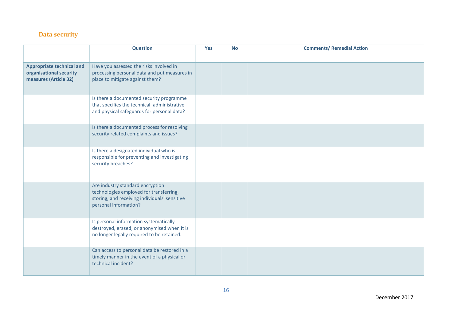#### **Data security**

|                                                                                      | <b>Question</b>                                                                                                                                       | <b>Yes</b> | <b>No</b> | <b>Comments/ Remedial Action</b> |
|--------------------------------------------------------------------------------------|-------------------------------------------------------------------------------------------------------------------------------------------------------|------------|-----------|----------------------------------|
|                                                                                      |                                                                                                                                                       |            |           |                                  |
| <b>Appropriate technical and</b><br>organisational security<br>measures (Article 32) | Have you assessed the risks involved in<br>processing personal data and put measures in<br>place to mitigate against them?                            |            |           |                                  |
|                                                                                      | Is there a documented security programme<br>that specifies the technical, administrative<br>and physical safeguards for personal data?                |            |           |                                  |
|                                                                                      | Is there a documented process for resolving<br>security related complaints and issues?                                                                |            |           |                                  |
|                                                                                      | Is there a designated individual who is<br>responsible for preventing and investigating<br>security breaches?                                         |            |           |                                  |
|                                                                                      | Are industry standard encryption<br>technologies employed for transferring,<br>storing, and receiving individuals' sensitive<br>personal information? |            |           |                                  |
|                                                                                      | Is personal information systematically<br>destroyed, erased, or anonymised when it is<br>no longer legally required to be retained.                   |            |           |                                  |
|                                                                                      | Can access to personal data be restored in a<br>timely manner in the event of a physical or<br>technical incident?                                    |            |           |                                  |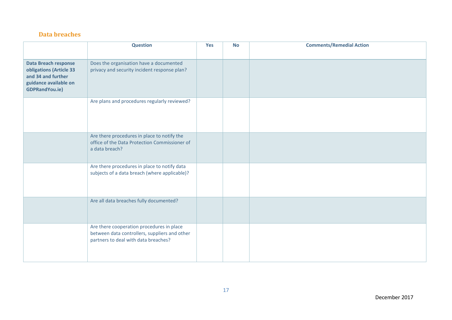#### **Data breaches**

|                                                                                                                                | <b>Question</b>                                                                                                                    | Yes | <b>No</b> | <b>Comments/Remedial Action</b> |
|--------------------------------------------------------------------------------------------------------------------------------|------------------------------------------------------------------------------------------------------------------------------------|-----|-----------|---------------------------------|
| <b>Data Breach response</b><br>obligations (Article 33<br>and 34 and further<br>guidance available on<br><b>GDPRandYou.ie)</b> | Does the organisation have a documented<br>privacy and security incident response plan?                                            |     |           |                                 |
|                                                                                                                                | Are plans and procedures regularly reviewed?                                                                                       |     |           |                                 |
|                                                                                                                                | Are there procedures in place to notify the<br>office of the Data Protection Commissioner of<br>a data breach?                     |     |           |                                 |
|                                                                                                                                | Are there procedures in place to notify data<br>subjects of a data breach (where applicable)?                                      |     |           |                                 |
|                                                                                                                                | Are all data breaches fully documented?                                                                                            |     |           |                                 |
|                                                                                                                                | Are there cooperation procedures in place<br>between data controllers, suppliers and other<br>partners to deal with data breaches? |     |           |                                 |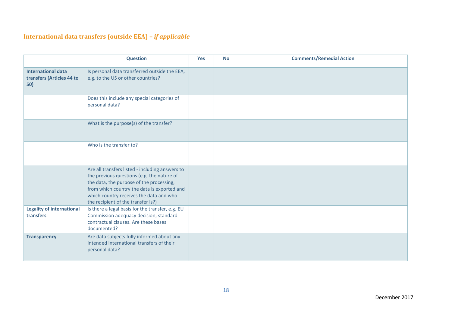### **International data transfers (outside EEA) –** *if applicable*

|                                                               | <b>Question</b>                                                                                                                                                                                                                                                           | <b>Yes</b> | <b>No</b> | <b>Comments/Remedial Action</b> |
|---------------------------------------------------------------|---------------------------------------------------------------------------------------------------------------------------------------------------------------------------------------------------------------------------------------------------------------------------|------------|-----------|---------------------------------|
| <b>International data</b><br>transfers (Articles 44 to<br>50) | Is personal data transferred outside the EEA,<br>e.g. to the US or other countries?                                                                                                                                                                                       |            |           |                                 |
|                                                               | Does this include any special categories of<br>personal data?                                                                                                                                                                                                             |            |           |                                 |
|                                                               | What is the purpose(s) of the transfer?                                                                                                                                                                                                                                   |            |           |                                 |
|                                                               | Who is the transfer to?                                                                                                                                                                                                                                                   |            |           |                                 |
|                                                               | Are all transfers listed - including answers to<br>the previous questions (e.g. the nature of<br>the data, the purpose of the processing,<br>from which country the data is exported and<br>which country receives the data and who<br>the recipient of the transfer is?) |            |           |                                 |
| <b>Legality of international</b><br>transfers                 | Is there a legal basis for the transfer, e.g. EU<br>Commission adequacy decision; standard<br>contractual clauses. Are these bases<br>documented?                                                                                                                         |            |           |                                 |
| <b>Transparency</b>                                           | Are data subjects fully informed about any<br>intended international transfers of their<br>personal data?                                                                                                                                                                 |            |           |                                 |